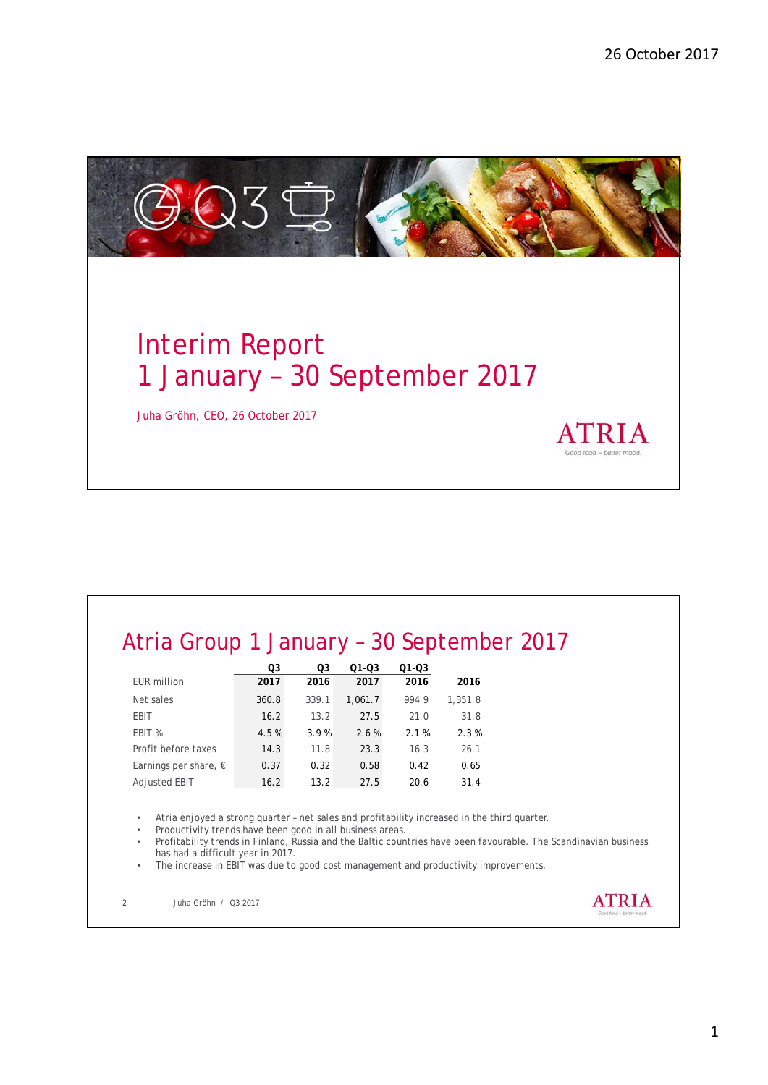

# Atria Group 1 January – 30 September 2017

|                                | O3    | O <sub>3</sub> | $01 - 03$ | $Q1 - Q3$ |         |
|--------------------------------|-------|----------------|-----------|-----------|---------|
| <b>EUR</b> million             | 2017  | 2016           | 2017      | 2016      | 2016    |
| Net sales                      | 360.8 | 339.1          | 1.061.7   | 994.9     | 1,351.8 |
| <b>EBIT</b>                    | 16.2  | 13.2           | 27.5      | 21.0      | 31.8    |
| EBIT %                         | 4.5%  | 3.9%           | 2.6%      | 2.1%      | 2.3%    |
| Profit before taxes            | 14.3  | 11.8           | 23.3      | 16.3      | 26.1    |
| Earnings per share, $\epsilon$ | 0.37  | 0.32           | 0.58      | 0.42      | 0.65    |
| Adjusted EBIT                  | 16.2  | 13.2           | 27.5      | 20.6      | 31.4    |
|                                |       |                |           |           |         |

• Atria enjoyed a strong quarter – net sales and profitability increased in the third quarter.

• Productivity trends have been good in all business areas.

• Profitability trends in Finland, Russia and the Baltic countries have been favourable. The Scandinavian business has had a difficult year in 2017.

The increase in EBIT was due to good cost management and productivity improvements.

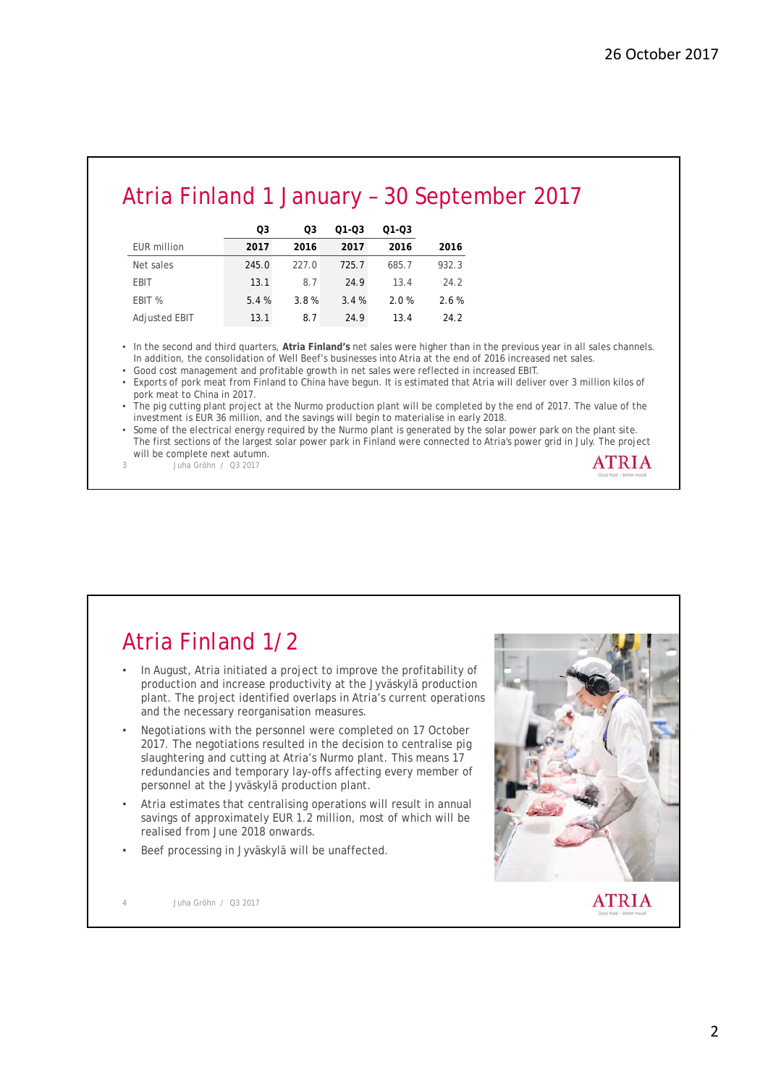## Atria Finland 1 January – 30 September 2017

|                    | O3    | O3    | 01-03 | 01-03 |       |
|--------------------|-------|-------|-------|-------|-------|
| <b>EUR</b> million | 2017  | 2016  | 2017  | 2016  | 2016  |
| Net sales          | 245.0 | 227.0 | 725.7 | 685.7 | 932.3 |
| <b>EBIT</b>        | 13.1  | 8.7   | 24.9  | 13.4  | 24.2  |
| EBIT %             | 5.4%  | 3.8%  | 3.4%  | 2.0%  | 2.6%  |
| Adjusted EBIT      | 13.1  | 8.7   | 24.9  | 13.4  | 24.2  |

• In the second and third quarters, **Atria Finland's** net sales were higher than in the previous year in all sales channels. In addition, the consolidation of Well Beef's businesses into Atria at the end of 2016 increased net sales.

• Good cost management and profitable growth in net sales were reflected in increased EBIT.

• Exports of pork meat from Finland to China have begun. It is estimated that Atria will deliver over 3 million kilos of pork meat to China in 2017.

• The pig cutting plant project at the Nurmo production plant will be completed by the end of 2017. The value of the investment is EUR 36 million, and the savings will begin to materialise in early 2018.

• Some of the electrical energy required by the Nurmo plant is generated by the solar power park on the plant site. The first sections of the largest solar power park in Finland were connected to Atria's power grid in July. The project will be complete next autumn. **ATRIA** 

3 Juha Gröhn / Q3 2017

### Atria Finland 1/2

- In August, Atria initiated a project to improve the profitability of production and increase productivity at the Jyväskylä production plant. The project identified overlaps in Atria's current operations and the necessary reorganisation measures.
- Negotiations with the personnel were completed on 17 October 2017. The negotiations resulted in the decision to centralise pig slaughtering and cutting at Atria's Nurmo plant. This means 17 redundancies and temporary lay-offs affecting every member of personnel at the Jyväskylä production plant.
- Atria estimates that centralising operations will result in annual savings of approximately EUR 1.2 million, most of which will be realised from June 2018 onwards.
- Beef processing in Jyväskylä will be unaffected.

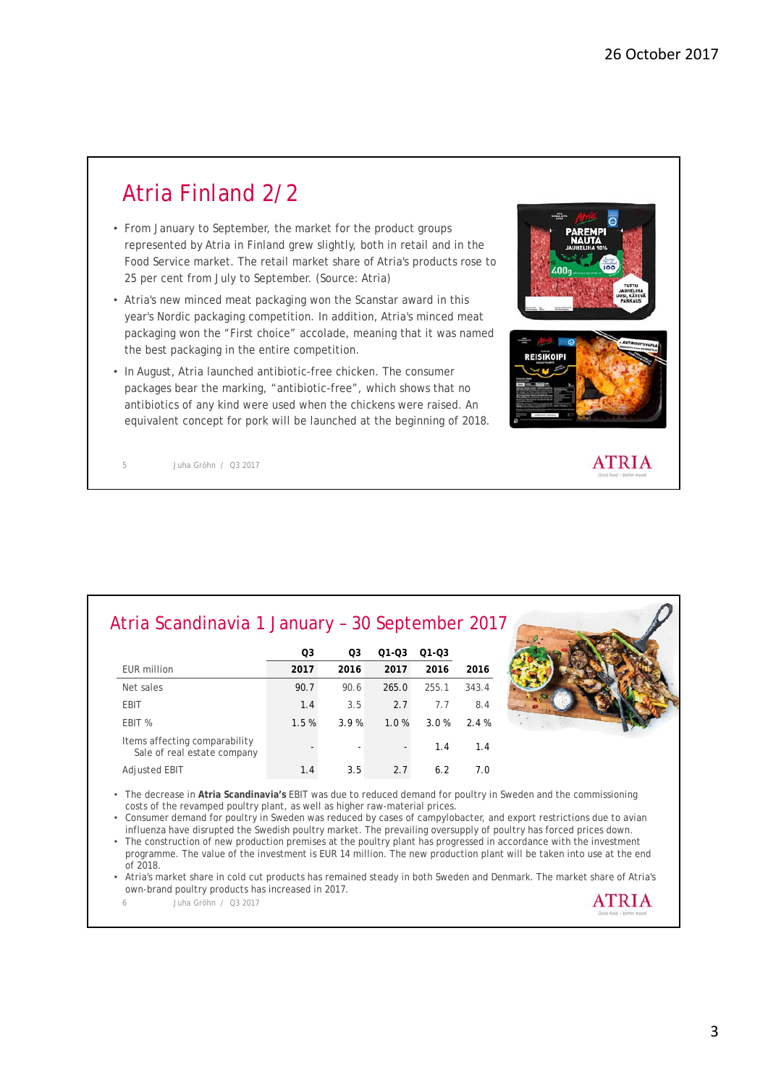### Atria Finland 2/2

- From January to September, the market for the product groups represented by Atria in Finland grew slightly, both in retail and in the Food Service market. The retail market share of Atria's products rose to 25 per cent from July to September. (Source: Atria)
- Atria's new minced meat packaging won the Scanstar award in this year's Nordic packaging competition. In addition, Atria's minced meat packaging won the "First choice" accolade, meaning that it was named the best packaging in the entire competition.
- In August, Atria launched antibiotic-free chicken. The consumer packages bear the marking, "antibiotic-free", which shows that no antibiotics of any kind were used when the chickens were raised. An equivalent concept for pork will be launched at the beginning of 2018.



**ATRIA** 

5 Juha Gröhn / Q3 2017

| Atria Scandinavia 1 January - 30 September 2017 |  |
|-------------------------------------------------|--|
|                                                 |  |

|                                                              | O <sub>3</sub> | O <sub>3</sub> | 01-03 | 01-03 |       |
|--------------------------------------------------------------|----------------|----------------|-------|-------|-------|
| EUR million                                                  | 2017           | 2016           | 2017  | 2016  | 2016  |
| Net sales                                                    | 90.7           | 90.6           | 265.0 | 255.1 | 343.4 |
| <b>EBIT</b>                                                  | 1.4            | 3.5            | 2.7   | 7.7   | 8.4   |
| EBIT %                                                       | 1.5%           | 3.9%           | 1.0%  | 3.0%  | 2.4%  |
| Items affecting comparability<br>Sale of real estate company | -              | ٠              |       | 1.4   | 1.4   |
| <b>Adjusted EBIT</b>                                         | 1.4            | 3.5            | 2.7   | 6.2   | 7.0   |



• The decrease in **Atria Scandinavia's** EBIT was due to reduced demand for poultry in Sweden and the commissioning costs of the revamped poultry plant, as well as higher raw-material prices.

• Consumer demand for poultry in Sweden was reduced by cases of campylobacter, and export restrictions due to avian influenza have disrupted the Swedish poultry market. The prevailing oversupply of poultry has forced prices down.

• The construction of new production premises at the poultry plant has progressed in accordance with the investment programme. The value of the investment is EUR 14 million. The new production plant will be taken into use at the end of 2018.

• Atria's market share in cold cut products has remained steady in both Sweden and Denmark. The market share of Atria's own-brand poultry products has increased in 2017. **ATRIA**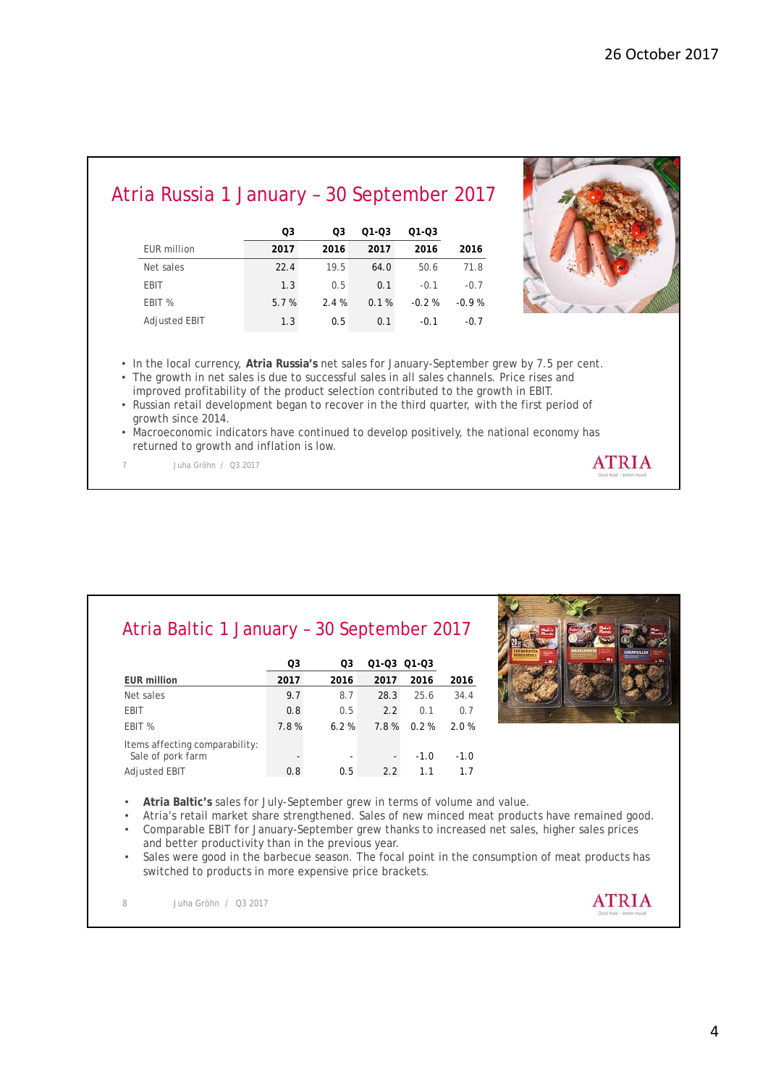#### Atria Russia 1 January – 30 September 2017

|                      | O <sub>3</sub> | O3   | 01-03 | 01-03   |         |
|----------------------|----------------|------|-------|---------|---------|
| EUR million          | 2017           | 2016 | 2017  | 2016    | 2016    |
| Net sales            | 22.4           | 19.5 | 64.0  | 50.6    | 71.8    |
| <b>EBIT</b>          | 1.3            | 0.5  | 0.1   | $-0.1$  | $-0.7$  |
| EBIT %               | 5.7%           | 2.4% | 0.1%  | $-0.2%$ | $-0.9%$ |
| <b>Adjusted EBIT</b> | 1.3            | 0.5  | 0.1   | $-0.1$  | $-0.7$  |



• In the local currency, **Atria Russia's** net sales for January-September grew by 7.5 per cent.

- The growth in net sales is due to successful sales in all sales channels. Price rises and improved profitability of the product selection contributed to the growth in EBIT.
- Russian retail development began to recover in the third quarter, with the first period of growth since 2014.
- Macroeconomic indicators have continued to develop positively, the national economy has returned to growth and inflation is low. **ATRIA**
- 7 Juha Gröhn / Q3 2017

| Atria Baltic 1 January - 30 September 2017 |  |
|--------------------------------------------|--|
|--------------------------------------------|--|

|                                                     | O <sub>3</sub> | O3   |      | 01-03 01-03 |        |
|-----------------------------------------------------|----------------|------|------|-------------|--------|
| <b>EUR million</b>                                  | 2017           | 2016 | 2017 | 2016        | 2016   |
| Net sales                                           | 9.7            | 8.7  | 28.3 | 25.6        | 34.4   |
| <b>EBIT</b>                                         | 0.8            | 0.5  | 2.2  | 0.1         | 0.7    |
| EBIT %                                              | 7.8%           | 6.2% | 7.8% | 0.2%        | 2.0%   |
| Items affecting comparability:<br>Sale of pork farm |                | ۰    | -    | $-1.0$      | $-1.0$ |
| <b>Adjusted EBIT</b>                                | 0.8            | 0.5  | 2.2  | 1.1         | 1.7    |



- **Atria Baltic's** sales for July-September grew in terms of volume and value.
- Atria's retail market share strengthened. Sales of new minced meat products have remained good.
- Comparable EBIT for January-September grew thanks to increased net sales, higher sales prices and better productivity than in the previous year.
- Sales were good in the barbecue season. The focal point in the consumption of meat products has switched to products in more expensive price brackets.

**ATRIA**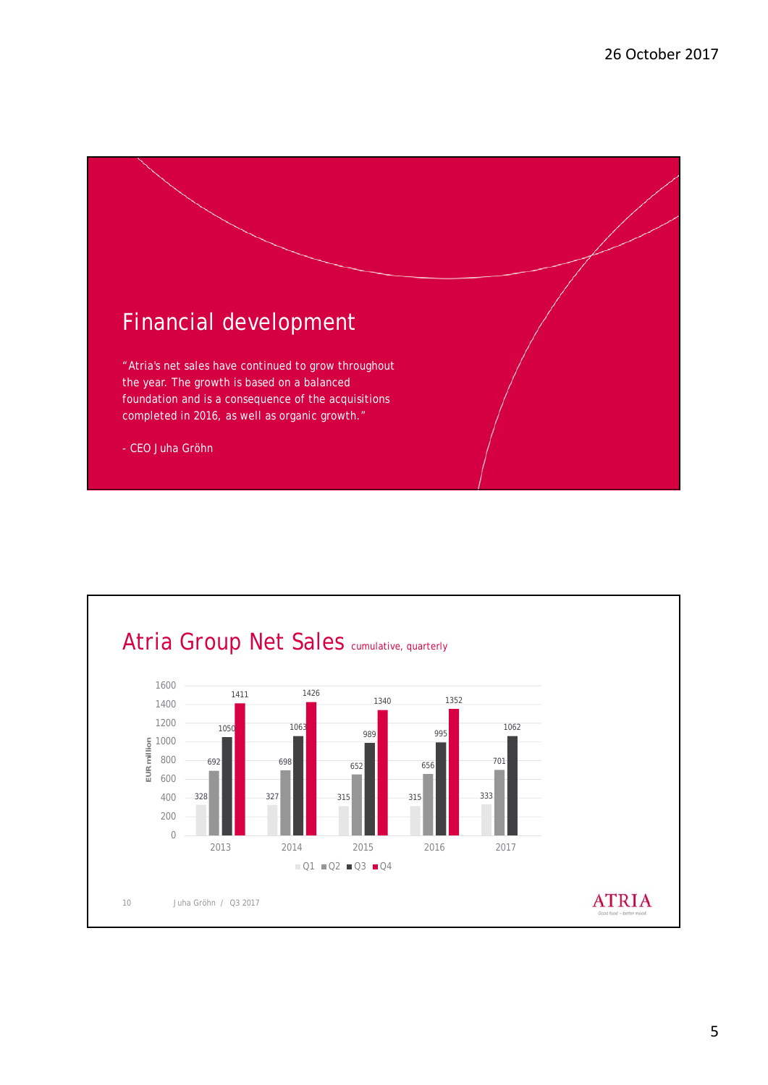

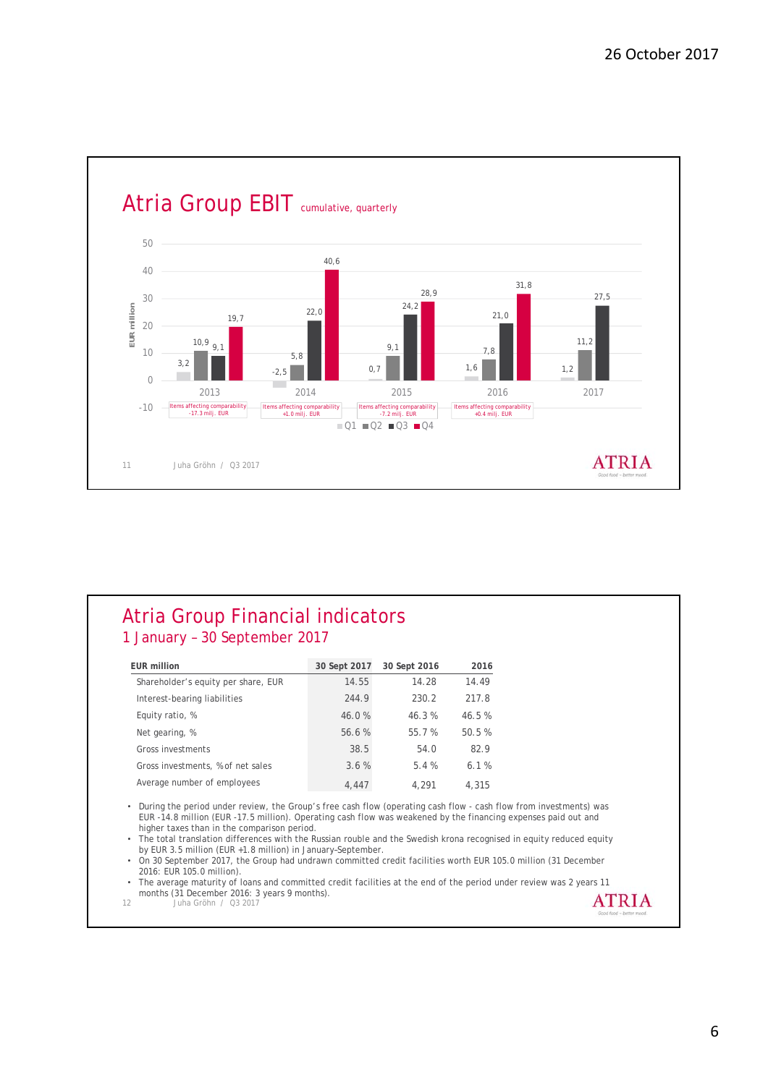

#### Atria Group Financial indicators 1 January – 30 September 2017

| EUR million                         | 30 Sept 2017 | 30 Sept 2016 | 2016  |
|-------------------------------------|--------------|--------------|-------|
| Shareholder's equity per share, EUR | 14.55        | 14.28        | 14.49 |
| Interest-bearing liabilities        | 244.9        | 230.2        | 217.8 |
| Equity ratio, %                     | 46.0%        | 46.3%        | 46.5% |
| Net gearing, %                      | 56.6%        | 55.7 %       | 50.5% |
| Gross investments                   | 38.5         | 54.0         | 82.9  |
| Gross investments, % of net sales   | 3.6%         | 5.4%         | 6.1%  |
| Average number of employees         | 4.447        | 4.291        | 4,315 |

• During the period under review, the Group's free cash flow (operating cash flow - cash flow from investments) was EUR -14.8 million (EUR -17.5 million). Operating cash flow was weakened by the financing expenses paid out and higher taxes than in the comparison period.

• The total translation differences with the Russian rouble and the Swedish krona recognised in equity reduced equity by EUR 3.5 million (EUR +1.8 million) in January–September.

• On 30 September 2017, the Group had undrawn committed credit facilities worth EUR 105.0 million (31 December 2016: EUR 105.0 million).

• The average maturity of loans and committed credit facilities at the end of the period under review was 2 years 11 months (31 December 2016: 3 years 9 months). **ATRIA**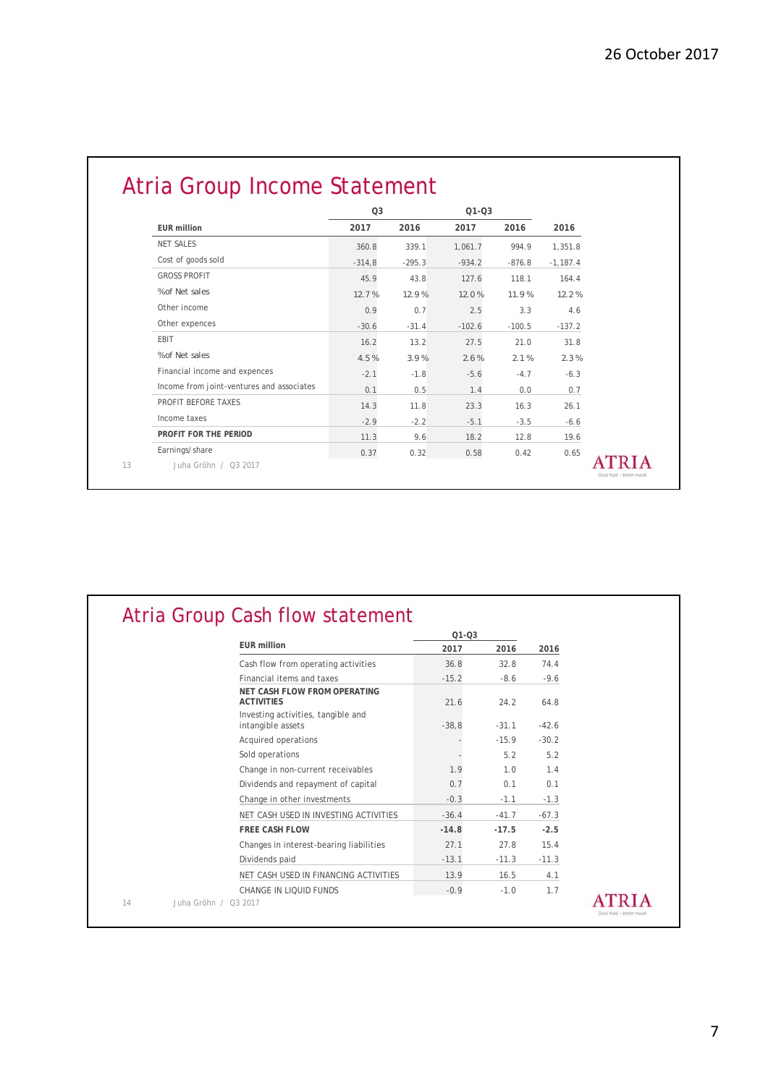|                                           | Q <sub>3</sub> |          | $Q1 - Q3$ |          |            |
|-------------------------------------------|----------------|----------|-----------|----------|------------|
| <b>EUR</b> million                        | 2017           | 2016     | 2017      | 2016     | 2016       |
| NET SALES                                 | 360.8          | 339.1    | 1,061.7   | 994.9    | 1,351.8    |
| Cost of goods sold                        | $-314,8$       | $-295.3$ | $-934.2$  | $-876.8$ | $-1,187.4$ |
| <b>GROSS PROFIT</b>                       | 45.9           | 43.8     | 127.6     | 118.1    | 164.4      |
| % of Net sales                            | 12.7%          | 12.9%    | 12.0%     | 11.9%    | 12.2%      |
| Other income                              | 0.9            | 0.7      | 2.5       | 3.3      | 4.6        |
| Other expences                            | $-30.6$        | $-31.4$  | $-102.6$  | $-100.5$ | $-137.2$   |
| <b>EBIT</b>                               | 16.2           | 13.2     | 27.5      | 21.0     | 31.8       |
| % of Net sales                            | 4.5%           | 3.9%     | 2.6%      | 2.1%     | 2.3%       |
| Financial income and expences             | $-2.1$         | $-1.8$   | $-5.6$    | $-4.7$   | $-6.3$     |
| Income from joint-ventures and associates | 0.1            | 0.5      | 1.4       | 0.0      | 0.7        |
| PROFIT BEFORE TAXES                       | 14.3           | 11.8     | 23.3      | 16.3     | 26.1       |
| Income taxes                              | $-2.9$         | $-2.2$   | $-5.1$    | $-3.5$   | $-6.6$     |
| PROFIT FOR THE PERIOD                     | 11.3           | 9.6      | 18.2      | 12.8     | 19.6       |
| Earnings/share                            | 0.37           | 0.32     | 0.58      | 0.42     | 0.65       |
| Juha Gröhn / 03 2017                      |                |          |           |          |            |

|                                                          | $Q1 - Q3$ |         |         |  |
|----------------------------------------------------------|-----------|---------|---------|--|
| <b>EUR million</b>                                       | 2017      | 2016    | 2016    |  |
| Cash flow from operating activities                      | 36.8      | 32.8    | 74.4    |  |
| Financial items and taxes                                | $-15.2$   | $-8.6$  | $-9.6$  |  |
| <b>NET CASH FLOW FROM OPERATING</b><br><b>ACTIVITIES</b> | 21.6      | 24.2    | 64.8    |  |
| Investing activities, tangible and<br>intangible assets  | $-38,8$   | $-31.1$ | $-42.6$ |  |
| Acquired operations                                      |           | $-15.9$ | $-30.2$ |  |
| Sold operations                                          |           | 5.2     | 5.2     |  |
| Change in non-current receivables                        | 1.9       | 1.0     | 1.4     |  |
| Dividends and repayment of capital                       | 0.7       | 0.1     | 0.1     |  |
| Change in other investments                              | $-0.3$    | $-1.1$  | $-1.3$  |  |
| NET CASH USED IN INVESTING ACTIVITIES                    | $-36.4$   | $-41.7$ | $-67.3$ |  |
| <b>FREE CASH FLOW</b>                                    | $-14.8$   | $-17.5$ | $-2.5$  |  |
| Changes in interest-bearing liabilities                  | 27.1      | 27.8    | 15.4    |  |
| Dividends paid                                           | $-13.1$   | $-11.3$ | $-11.3$ |  |
| NET CASH USED IN FINANCING ACTIVITIES                    | 13.9      | 16.5    | 4.1     |  |
| CHANGE IN LIOUID FUNDS                                   | $-0.9$    | $-1.0$  | 1.7     |  |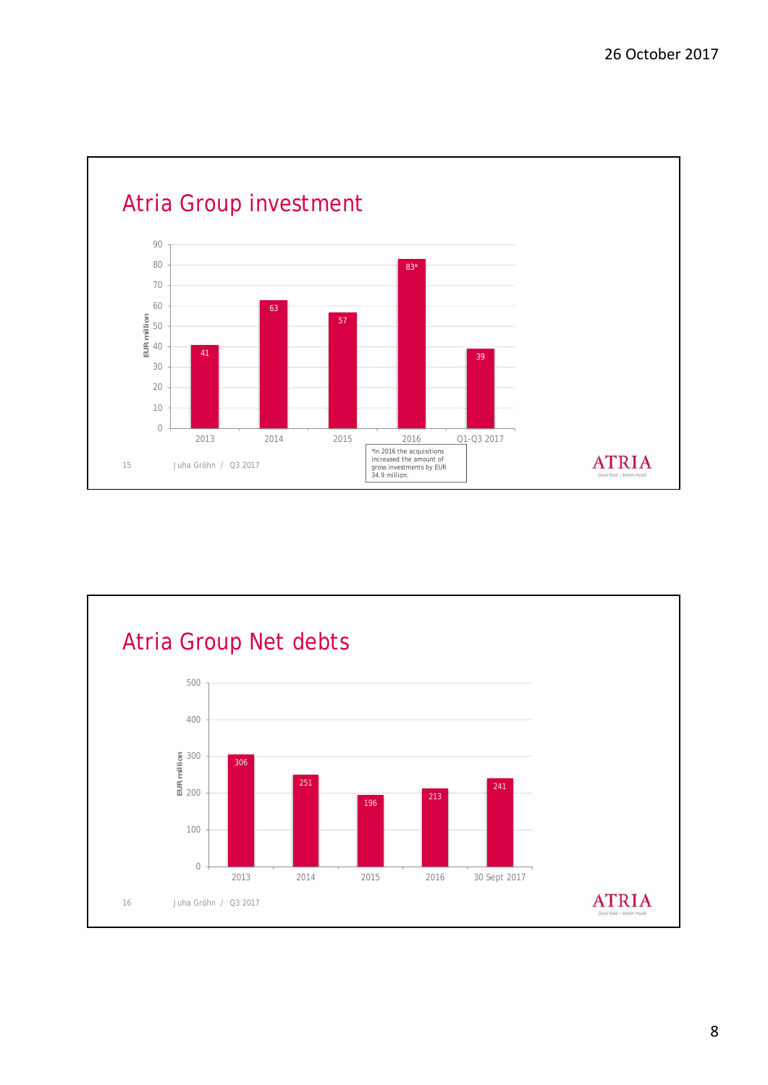

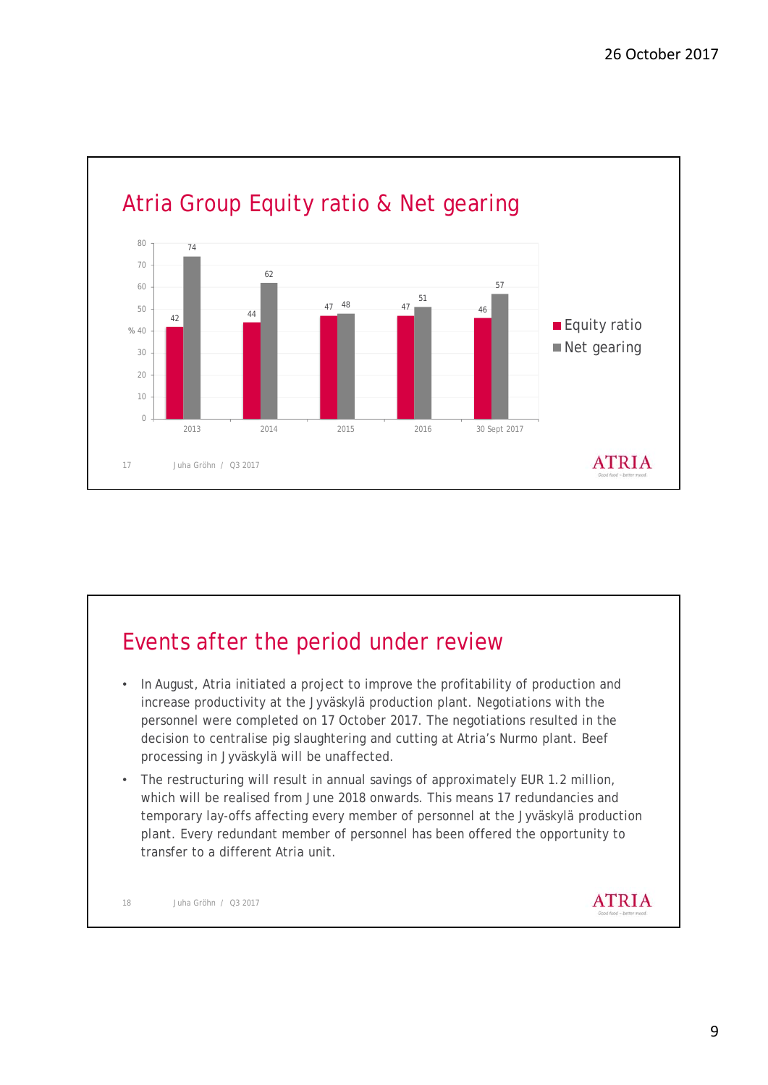

### Events after the period under review

- In August, Atria initiated a project to improve the profitability of production and increase productivity at the Jyväskylä production plant. Negotiations with the personnel were completed on 17 October 2017. The negotiations resulted in the decision to centralise pig slaughtering and cutting at Atria's Nurmo plant. Beef processing in Jyväskylä will be unaffected.
- The restructuring will result in annual savings of approximately EUR 1.2 million, which will be realised from June 2018 onwards. This means 17 redundancies and temporary lay-offs affecting every member of personnel at the Jyväskylä production plant. Every redundant member of personnel has been offered the opportunity to transfer to a different Atria unit.

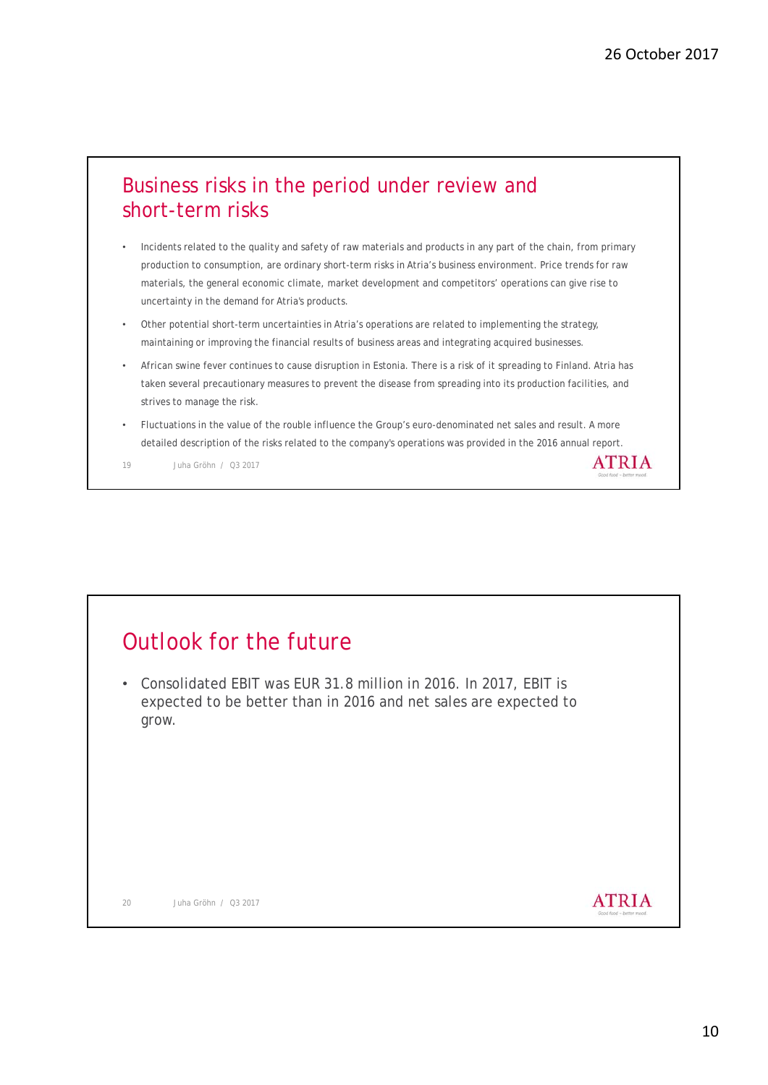#### Business risks in the period under review and short-term risks

- Incidents related to the quality and safety of raw materials and products in any part of the chain, from primary production to consumption, are ordinary short-term risks in Atria's business environment. Price trends for raw materials, the general economic climate, market development and competitors' operations can give rise to uncertainty in the demand for Atria's products.
- Other potential short-term uncertainties in Atria's operations are related to implementing the strategy, maintaining or improving the financial results of business areas and integrating acquired businesses.
- African swine fever continues to cause disruption in Estonia. There is a risk of it spreading to Finland. Atria has taken several precautionary measures to prevent the disease from spreading into its production facilities, and strives to manage the risk.
- Fluctuations in the value of the rouble influence the Group's euro-denominated net sales and result. A more detailed description of the risks related to the company's operations was provided in the 2016 annual report.

19 Juha Gröhn / Q3 2017

### Outlook for the future

• Consolidated EBIT was EUR 31.8 million in 2016. In 2017, EBIT is expected to be better than in 2016 and net sales are expected to grow.



**ATRIA**